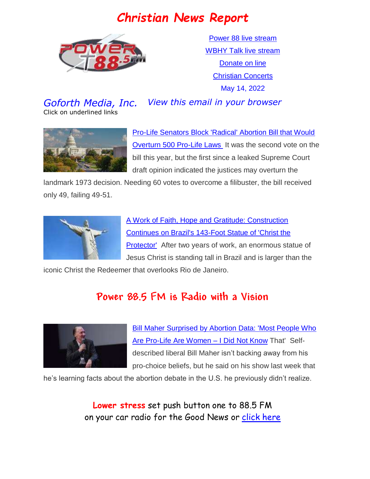# *Christian News Report*



[Power 88 live stream](https://us7.maindigitalstream.com/2920/index.php) [WBHY Talk live stream](http://148.72.155.47:8573/Ahxed5k) [Donate on line](https://forms.ministryforms.net/viewForm.aspx?formId=018b4ff7-2c2f-4f0e-8ef2-689f9601b826) [Christian Concerts](https://www.goforth.org/Concerts) May 14, 2022

*Goforth Media, Inc. View this email in your browser*

Click on underlined links





[Pro-Life Senators Block 'Radical' Abortion Bill that Would](https://www.christianheadlines.com/contributors/michael-foust/pro-life-senators-block-radical-abortion-bill-that-would-overturn-500-pro-life-laws.html)  [Overturn 500 Pro-Life Laws](https://www.christianheadlines.com/contributors/michael-foust/pro-life-senators-block-radical-abortion-bill-that-would-overturn-500-pro-life-laws.html) It was the second vote on the bill this year, but the first since a leaked Supreme Court draft opinion indicated the justices may overturn the

landmark 1973 decision. Needing 60 votes to overcome a filibuster, the bill received only 49, failing 49-51.



[A Work of Faith, Hope and Gratitude: Construction](https://www1.cbn.com/cbnnews/cwn/2022/may/a-work-of-faith-hope-and-gratitude-construction-continues-on-brazils-143-foot-statue-of-christ-the-protector)  [Continues on Brazil's 143-Foot Statue of 'Christ the](https://www1.cbn.com/cbnnews/cwn/2022/may/a-work-of-faith-hope-and-gratitude-construction-continues-on-brazils-143-foot-statue-of-christ-the-protector)  **Protector'** After two years of work, an enormous statue of Jesus Christ is standing tall in Brazil and is larger than the

iconic Christ the Redeemer that overlooks Rio de Janeiro.

# **Power 88.5 FM is Radio with a Vision**



[Bill Maher Surprised by Abortion Data: 'Most People Who](https://www.christianheadlines.com/contributors/michael-foust/bill-maher-surprised-by-abortion-data-most-people-who-are-pro-life-are-women-i-did-not-know-that.html)  [Are Pro-Life Are Women –](https://www.christianheadlines.com/contributors/michael-foust/bill-maher-surprised-by-abortion-data-most-people-who-are-pro-life-are-women-i-did-not-know-that.html) I Did Not Know That' Selfdescribed liberal Bill Maher isn't backing away from his pro-choice beliefs, but he said on his show last week that

he's learning facts about the abortion debate in the U.S. he previously didn't realize.

**Lower stress** set push button one to 88.5 FM on your car radio for the Good News or [click here](https://us7.maindigitalstream.com/2920/)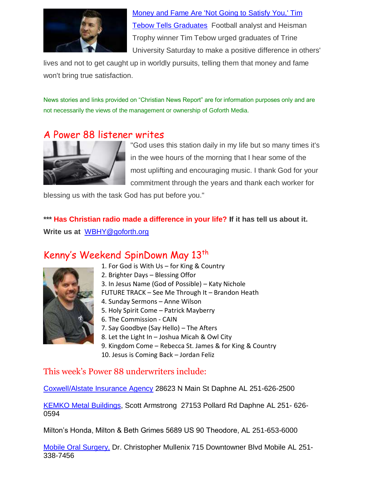

[Money and Fame Are 'Not Going to Satisfy You,' Tim](https://www.christianheadlines.com/contributors/michael-foust/money-and-fame-are-not-going-to-satisfy-you-tim-tebow-tells-graduates.html)  [Tebow Tells Graduates](https://www.christianheadlines.com/contributors/michael-foust/money-and-fame-are-not-going-to-satisfy-you-tim-tebow-tells-graduates.html) Football analyst and Heisman Trophy winner Tim Tebow urged graduates of Trine University Saturday to make a positive difference in others'

lives and not to get caught up in worldly pursuits, telling them that money and fame won't bring true satisfaction.

News stories and links provided on "Christian News Report" are for information purposes only and are not necessarily the views of the management or ownership of Goforth Media.

#### A Power 88 listener writes



"God uses this station daily in my life but so many times it's in the wee hours of the morning that I hear some of the most uplifting and encouraging music. I thank God for your commitment through the years and thank each worker for

blessing us with the task God has put before you."

\*\*\* Has Christian radio made a difference in your life? If it has tell us about it. **Write us at** [WBHY@goforth.org](mailto:WBHY@goforth.org)

### Kenny's Weekend SpinDown May 13<sup>th</sup>



- 1. For God is With Us for King & Country
- 2. Brighter Days Blessing Offor
- 3. In Jesus Name (God of Possible) Katy Nichole
- FUTURE TRACK See Me Through It Brandon Heath
- 4. Sunday Sermons Anne Wilson
- 5. Holy Spirit Come Patrick Mayberry
- 6. The Commission CAIN
- 7. Say Goodbye (Say Hello) The Afters
- 8. Let the Light In Joshua Micah & Owl City
- 9. Kingdom Come Rebecca St. James & for King & Country 10. Jesus is Coming Back – Jordan Feliz

#### This week's Power 88 underwriters include:

[Coxwell/Alstate Insurance Agency](https://agents.allstate.com/the-coxwell-agency-daphne-al.html?utm_source=GMB&utm_medium=Website) 28623 N Main St Daphne AL 251-626-2500

[KEMKO Metal Buildings,](http://www.kemkobuildings.com/) Scott Armstrong 27153 Pollard Rd Daphne AL 251- 626- 0594

Milton's Honda, Milton & Beth Grimes 5689 US 90 Theodore, AL 251-653-6000

Mobile Oral Surgery, Dr. Christopher Mullenix 715 Downtowner Blvd Mobile AL 251- 338-7456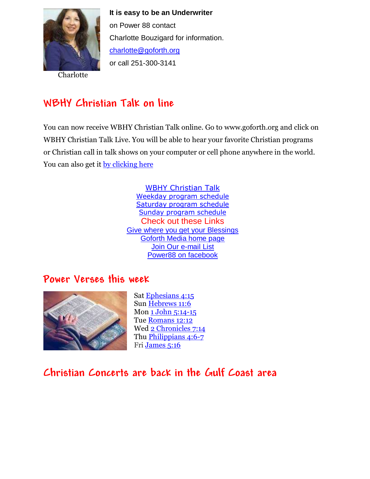

Charlotte

**It is easy to be an Underwriter**  on Power 88 contact Charlotte Bouzigard for information. [charlotte@goforth.org](mailto:charlotte@goforth.org) or call 251-300-3141

# **WBHY Christian Talk on line**

You can now receive WBHY Christian Talk online. Go to [www.goforth.org](http://www.goforth.org/) and click on WBHY Christian Talk Live. You will be able to hear your favorite Christian programs or Christian call in talk shows on your computer or cell phone anywhere in the world. You can also get it [by clicking here](http://148.72.155.47:8573/Ahxed5k)

> [WBHY Christian Talk](http://148.72.155.47:8573/Ahxed5k) [Weekday program schedule](https://goforth.schoolinsites.com/dailyprogramschedule) [Saturday program schedule](https://goforth.schoolinsites.com/saturdayprogramschedule) [Sunday program schedule](https://goforth.schoolinsites.com/sundayprogramschedule) Check out these Links [Give where you get your Blessings](https://forms.ministryforms.net/viewForm.aspx?formId=018b4ff7-2c2f-4f0e-8ef2-689f9601b826) [Goforth Media home page](http://www.goforth.org/) [Join Our e-mail List](http://user.goforth.org/mail-form/mail_form.htm) [Power88 on facebook](http://www.facebook.com/Power88fm)

#### **Power Verses this week**



Sat [Ephesians 4:15](https://www.biblegateway.com/passage/?search=Ephesians%204:15&version=niv) Sun [Hebrews 11:6](https://www.biblegateway.com/passage/?search=Hebrews%2011:6&version=niv) Mon [1 John 5:14-15](https://www.biblegateway.com/passage/?search=1%20John%205:14-15&version=niv) Tue [Romans 12:12](https://www.biblegateway.com/passage/?search=Romans%2012:12&version=niv) Wed [2 Chronicles 7:14](https://www.biblegateway.com/passage/?search=2%20Chronicles%207:14&version=niv) Thu [Philippians 4:6-7](https://www.biblegateway.com/passage/?search=Philippians%204:6-7&version=niv) Fri [James 5:16](https://www.biblegateway.com/passage/?search=James%205:16&version=niv)

## **Christian Concerts are back in the [Gulf Coast](https://goforth.schoolinsites.com/Concerts) area**